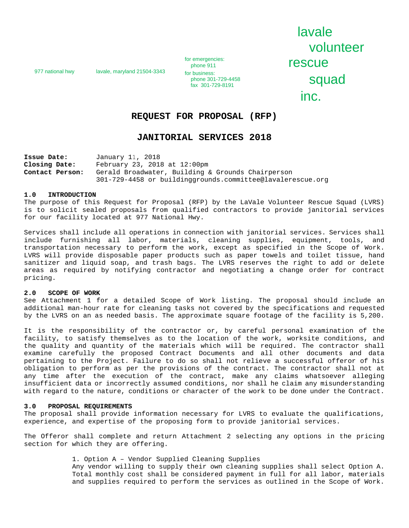977 national hwy lavale, maryland 21504-3343

for emergencies:<br>phone 911 From emergencies:<br>
phone 911 **r rescuence**<br>
for business: phone 301-729-4458

lavale volunteer Fax 301-729-4458<br>fax 301-729-8191 inc.

# **REQUEST FOR PROPOSAL (RFP)**

# **JANITORIAL SERVICES 2018**

**Issue Date:** January 11, 2018 **Closing Date:** February 23, 2018 at 12:00pm **Contact Person:** Gerald Broadwater, Building & Grounds Chairperson 301-729-4458 or buildinggrounds.committee@lavalerescue.org

### **1.0 INTRODUCTION**

The purpose of this Request for Proposal (RFP) by the LaVale Volunteer Rescue Squad (LVRS) is to solicit sealed proposals from qualified contractors to provide janitorial services for our facility located at 977 National Hwy.

Services shall include all operations in connection with janitorial services. Services shall include furnishing all labor, materials, cleaning supplies, equipment, tools, and transportation necessary to perform the work, except as specified in the Scope of Work. LVRS will provide disposable paper products such as paper towels and toilet tissue, hand sanitizer and liquid soap, and trash bags. The LVRS reserves the right to add or delete areas as required by notifying contractor and negotiating a change order for contract pricing.

## **2.0 SCOPE OF WORK**

See Attachment 1 for a detailed Scope of Work listing. The proposal should include an additional man-hour rate for cleaning tasks not covered by the specifications and requested by the LVRS on an as needed basis. The approximate square footage of the facility is 5,200.

It is the responsibility of the contractor or, by careful personal examination of the facility, to satisfy themselves as to the location of the work, worksite conditions, and the quality and quantity of the materials which will be required. The contractor shall examine carefully the proposed Contract Documents and all other documents and data pertaining to the Project. Failure to do so shall not relieve a successful offeror of his obligation to perform as per the provisions of the contract. The contractor shall not at any time after the execution of the contract, make any claims whatsoever alleging insufficient data or incorrectly assumed conditions, nor shall he claim any misunderstanding with regard to the nature, conditions or character of the work to be done under the Contract.

#### **3.0 PROPOSAL REQUIREMENTS**

The proposal shall provide information necessary for LVRS to evaluate the qualifications, experience, and expertise of the proposing form to provide janitorial services.

The Offeror shall complete and return Attachment 2 selecting any options in the pricing section for which they are offering.

> 1. Option A – Vendor Supplied Cleaning Supplies Any vendor willing to supply their own cleaning supplies shall select Option A. Total monthly cost shall be considered payment in full for all labor, materials and supplies required to perform the services as outlined in the Scope of Work.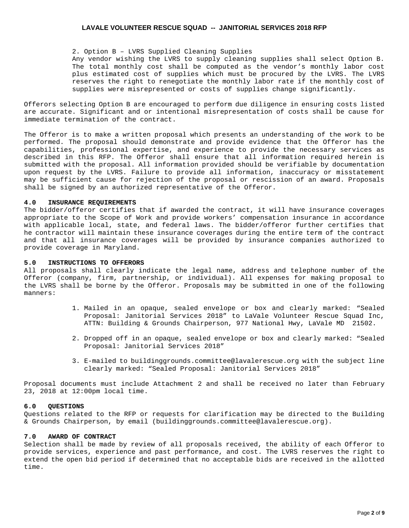### 2. Option B – LVRS Supplied Cleaning Supplies

Any vendor wishing the LVRS to supply cleaning supplies shall select Option B. The total monthly cost shall be computed as the vendor's monthly labor cost plus estimated cost of supplies which must be procured by the LVRS. The LVRS reserves the right to renegotiate the monthly labor rate if the monthly cost of supplies were misrepresented or costs of supplies change significantly.

Offerors selecting Option B are encouraged to perform due diligence in ensuring costs listed are accurate. Significant and or intentional misrepresentation of costs shall be cause for immediate termination of the contract.

The Offeror is to make a written proposal which presents an understanding of the work to be performed. The proposal should demonstrate and provide evidence that the Offeror has the capabilities, professional expertise, and experience to provide the necessary services as described in this RFP. The Offeror shall ensure that all information required herein is submitted with the proposal. All information provided should be verifiable by documentation upon request by the LVRS. Failure to provide all information, inaccuracy or misstatement may be sufficient cause for rejection of the proposal or rescission of an award. Proposals shall be signed by an authorized representative of the Offeror.

# **4.0 INSURANCE REQUIREMENTS**

The bidder/offeror certifies that if awarded the contract, it will have insurance coverages appropriate to the Scope of Work and provide workers' compensation insurance in accordance with applicable local, state, and federal laws. The bidder/offeror further certifies that he contractor will maintain these insurance coverages during the entire term of the contract and that all insurance coverages will be provided by insurance companies authorized to provide coverage in Maryland.

## **5.0 INSTRUCTIONS TO OFFERORS**

All proposals shall clearly indicate the legal name, address and telephone number of the Offeror (company, firm, partnership, or individual). All expenses for making proposal to the LVRS shall be borne by the Offeror. Proposals may be submitted in one of the following manners:

- 1. Mailed in an opaque, sealed envelope or box and clearly marked: "Sealed Proposal: Janitorial Services 2018" to LaVale Volunteer Rescue Squad Inc, ATTN: Building & Grounds Chairperson, 977 National Hwy, LaVale MD 21502.
- 2. Dropped off in an opaque, sealed envelope or box and clearly marked: "Sealed Proposal: Janitorial Services 2018"
- 3. E-mailed to buildinggrounds.committee@lavalerescue.org with the subject line clearly marked: "Sealed Proposal: Janitorial Services 2018"

Proposal documents must include Attachment 2 and shall be received no later than February 23, 2018 at 12:00pm local time.

## **6.0 QUESTIONS**

Questions related to the RFP or requests for clarification may be directed to the Building & Grounds Chairperson, by email (buildinggrounds.committee@lavalerescue.org).

## **7.0 AWARD OF CONTRACT**

Selection shall be made by review of all proposals received, the ability of each Offeror to provide services, experience and past performance, and cost. The LVRS reserves the right to extend the open bid period if determined that no acceptable bids are received in the allotted time.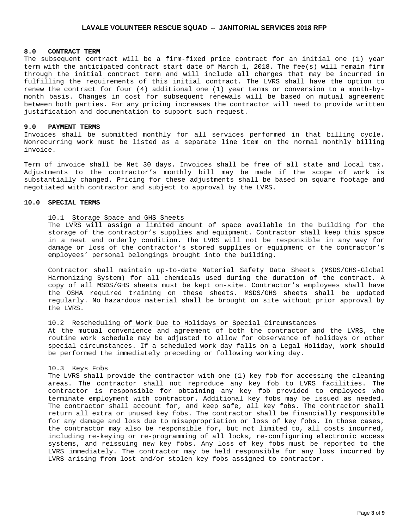### **8.0 CONTRACT TERM**

The subsequent contract will be a firm-fixed price contract for an initial one (1) year term with the anticipated contract start date of March 1, 2018. The fee(s) will remain firm through the initial contract term and will include all charges that may be incurred in fulfilling the requirements of this initial contract. The LVRS shall have the option to renew the contract for four (4) additional one (1) year terms or conversion to a month-bymonth basis. Changes in cost for subsequent renewals will be based on mutual agreement between both parties. For any pricing increases the contractor will need to provide written justification and documentation to support such request.

## **9.0 PAYMENT TERMS**

Invoices shall be submitted monthly for all services performed in that billing cycle. Nonrecurring work must be listed as a separate line item on the normal monthly billing invoice.

Term of invoice shall be Net 30 days. Invoices shall be free of all state and local tax. Adjustments to the contractor's monthly bill may be made if the scope of work is substantially changed. Pricing for these adjustments shall be based on square footage and negotiated with contractor and subject to approval by the LVRS.

## **10.0 SPECIAL TERMS**

## 10.1 Storage Space and GHS Sheets

The LVRS will assign a limited amount of space available in the building for the storage of the contractor's supplies and equipment. Contractor shall keep this space in a neat and orderly condition. The LVRS will not be responsible in any way for damage or loss of the contractor's stored supplies or equipment or the contractor's employees' personal belongings brought into the building.

Contractor shall maintain up-to-date Material Safety Data Sheets (MSDS/GHS-Global Harmonizing System) for all chemicals used during the duration of the contract. A copy of all MSDS/GHS sheets must be kept on-site. Contractor's employees shall have the OSHA required training on these sheets. MSDS/GHS sheets shall be updated regularly. No hazardous material shall be brought on site without prior approval by the LVRS.

# 10.2 Rescheduling of Work Due to Holidays or Special Circumstances

At the mutual convenience and agreement of both the contractor and the LVRS, the routine work schedule may be adjusted to allow for observance of holidays or other special circumstances. If a scheduled work day falls on a Legal Holiday, work should be performed the immediately preceding or following working day.

## 10.3 Keys Fobs

The LVRS shall provide the contractor with one (1) key fob for accessing the cleaning areas. The contractor shall not reproduce any key fob to LVRS facilities. The contractor is responsible for obtaining any key fob provided to employees who terminate employment with contractor. Additional key fobs may be issued as needed. The contractor shall account for, and keep safe, all key fobs. The contractor shall return all extra or unused key fobs. The contractor shall be financially responsible for any damage and loss due to misappropriation or loss of key fobs. In those cases, the contractor may also be responsible for, but not limited to, all costs incurred, including re-keying or re-programming of all locks, re-configuring electronic access systems, and reissuing new key fobs. Any loss of key fobs must be reported to the LVRS immediately. The contractor may be held responsible for any loss incurred by LVRS arising from lost and/or stolen key fobs assigned to contractor.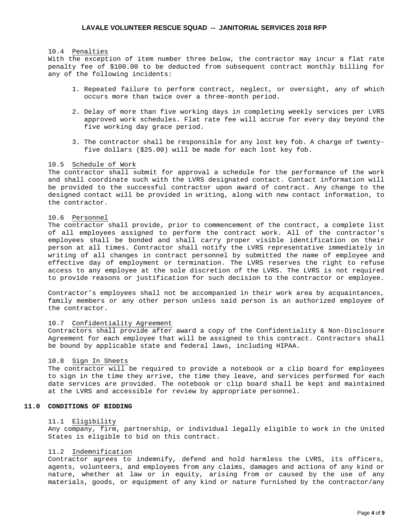## 10.4 Penalties

With the exception of item number three below, the contractor may incur a flat rate penalty fee of \$100.00 to be deducted from subsequent contract monthly billing for any of the following incidents:

- 1. Repeated failure to perform contract, neglect, or oversight, any of which occurs more than twice over a three-month period.
- 2. Delay of more than five working days in completing weekly services per LVRS approved work schedules. Flat rate fee will accrue for every day beyond the five working day grace period.
- 3. The contractor shall be responsible for any lost key fob. A charge of twentyfive dollars (\$25.00) will be made for each lost key fob.

# 10.5 Schedule of Work

The contractor shall submit for approval a schedule for the performance of the work and shall coordinate such with the LVRS designated contact. Contact information will be provided to the successful contractor upon award of contract. Any change to the designed contact will be provided in writing, along with new contact information, to the contractor.

### 10.6 Personnel

The contractor shall provide, prior to commencement of the contract, a complete list of all employees assigned to perform the contract work. All of the contractor's employees shall be bonded and shall carry proper visible identification on their person at all times. Contractor shall notify the LVRS representative immediately in writing of all changes in contract personnel by submitted the name of employee and effective day of employment or termination. The LVRS reserves the right to refuse access to any employee at the sole discretion of the LVRS. The LVRS is not required to provide reasons or justification for such decision to the contractor or employee.

Contractor's employees shall not be accompanied in their work area by acquaintances, family members or any other person unless said person is an authorized employee of the contractor.

#### 10.7 Confidentiality Agreement

Contractors shall provide after award a copy of the Confidentiality & Non-Disclosure Agreement for each employee that will be assigned to this contract. Contractors shall be bound by applicable state and federal laws, including HIPAA.

#### 10.8 Sign In Sheets

The contractor will be required to provide a notebook or a clip board for employees to sign in the time they arrive, the time they leave, and services performed for each date services are provided. The notebook or clip board shall be kept and maintained at the LVRS and accessible for review by appropriate personnel.

# **11.0 CONDITIONS OF BIDDING**

#### 11.1 Eligibility

Any company, firm, partnership, or individual legally eligible to work in the United States is eligible to bid on this contract.

#### 11.2 Indemnification

Contractor agrees to indemnify, defend and hold harmless the LVRS, its officers, agents, volunteers, and employees from any claims, damages and actions of any kind or nature, whether at law or in equity, arising from or caused by the use of any materials, goods, or equipment of any kind or nature furnished by the contractor/any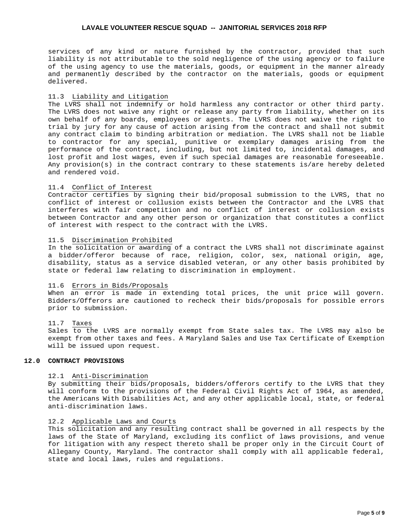services of any kind or nature furnished by the contractor, provided that such liability is not attributable to the sold negligence of the using agency or to failure of the using agency to use the materials, goods, or equipment in the manner already and permanently described by the contractor on the materials, goods or equipment delivered.

## 11.3 Liability and Litigation

The LVRS shall not indemnify or hold harmless any contractor or other third party. The LVRS does not waive any right or release any party from liability, whether on its own behalf of any boards, employees or agents. The LVRS does not waive the right to trial by jury for any cause of action arising from the contract and shall not submit any contract claim to binding arbitration or mediation. The LVRS shall not be liable to contractor for any special, punitive or exemplary damages arising from the performance of the contract, including, but not limited to, incidental damages, and lost profit and lost wages, even if such special damages are reasonable foreseeable. Any provision(s) in the contract contrary to these statements is/are hereby deleted and rendered void.

# 11.4 Conflict of Interest

Contractor certifies by signing their bid/proposal submission to the LVRS, that no conflict of interest or collusion exists between the Contractor and the LVRS that interferes with fair competition and no conflict of interest or collusion exists between Contractor and any other person or organization that constitutes a conflict of interest with respect to the contract with the LVRS.

#### 11.5 Discrimination Prohibited

In the solicitation or awarding of a contract the LVRS shall not discriminate against a bidder/offeror because of race, religion, color, sex, national origin, age, disability, status as a service disabled veteran, or any other basis prohibited by state or federal law relating to discrimination in employment.

# 11.6 Errors in Bids/Proposals

When an error is made in extending total prices, the unit price will govern. Bidders/Offerors are cautioned to recheck their bids/proposals for possible errors prior to submission.

## 11.7 Taxes

Sales to the LVRS are normally exempt from State sales tax. The LVRS may also be exempt from other taxes and fees. A Maryland Sales and Use Tax Certificate of Exemption will be issued upon request.

### **12.0 CONTRACT PROVISIONS**

## 12.1 Anti-Discrimination

By submitting their bids/proposals, bidders/offerors certify to the LVRS that they will conform to the provisions of the Federal Civil Rights Act of 1964, as amended, the Americans With Disabilities Act, and any other applicable local, state, or federal anti-discrimination laws.

# 12.2 Applicable Laws and Courts

This solicitation and any resulting contract shall be governed in all respects by the laws of the State of Maryland, excluding its conflict of laws provisions, and venue for litigation with any respect thereto shall be proper only in the Circuit Court of Allegany County, Maryland. The contractor shall comply with all applicable federal, state and local laws, rules and regulations.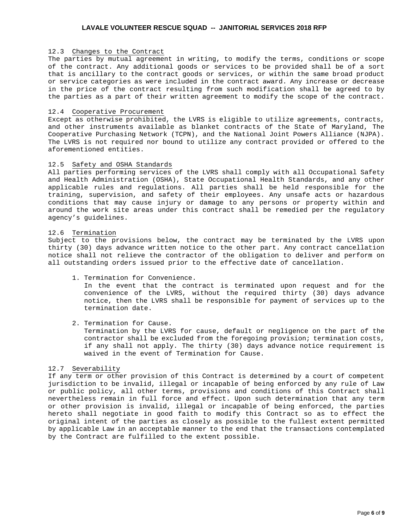# 12.3 Changes to the Contract

The parties by mutual agreement in writing, to modify the terms, conditions or scope of the contract. Any additional goods or services to be provided shall be of a sort that is ancillary to the contract goods or services, or within the same broad product or service categories as were included in the contract award. Any increase or decrease in the price of the contract resulting from such modification shall be agreed to by the parties as a part of their written agreement to modify the scope of the contract.

### 12.4 Cooperative Procurement

Except as otherwise prohibited, the LVRS is eligible to utilize agreements, contracts, and other instruments available as blanket contracts of the State of Maryland, The Cooperative Purchasing Network (TCPN), and the National Joint Powers Alliance (NJPA). The LVRS is not required nor bound to utilize any contract provided or offered to the aforementioned entities.

## 12.5 Safety and OSHA Standards

All parties performing services of the LVRS shall comply with all Occupational Safety and Health Administration (OSHA), State Occupational Health Standards, and any other applicable rules and regulations. All parties shall be held responsible for the training, supervision, and safety of their employees. Any unsafe acts or hazardous conditions that may cause injury or damage to any persons or property within and around the work site areas under this contract shall be remedied per the regulatory agency's guidelines.

# 12.6 Termination

Subject to the provisions below, the contract may be terminated by the LVRS upon thirty (30) days advance written notice to the other part. Any contract cancellation notice shall not relieve the contractor of the obligation to deliver and perform on all outstanding orders issued prior to the effective date of cancellation.

1. Termination for Convenience.

In the event that the contract is terminated upon request and for the convenience of the LVRS, without the required thirty (30) days advance notice, then the LVRS shall be responsible for payment of services up to the termination date.

2. Termination for Cause.

Termination by the LVRS for cause, default or negligence on the part of the contractor shall be excluded from the foregoing provision; termination costs, if any shall not apply. The thirty (30) days advance notice requirement is waived in the event of Termination for Cause.

## 12.7 Severability

If any term or other provision of this Contract is determined by a court of competent jurisdiction to be invalid, illegal or incapable of being enforced by any rule of Law or public policy, all other terms, provisions and conditions of this Contract shall nevertheless remain in full force and effect. Upon such determination that any term or other provision is invalid, illegal or incapable of being enforced, the parties hereto shall negotiate in good faith to modify this Contract so as to effect the original intent of the parties as closely as possible to the fullest extent permitted by applicable Law in an acceptable manner to the end that the transactions contemplated by the Contract are fulfilled to the extent possible.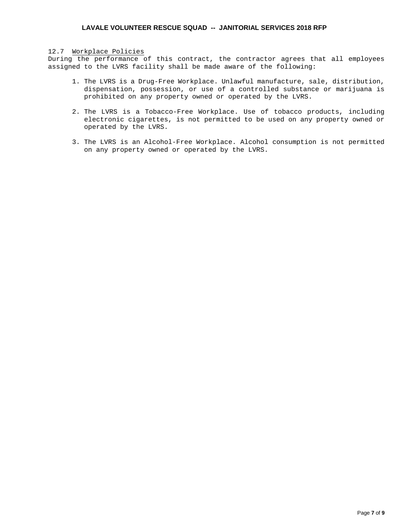# 12.7 Workplace Policies

During the performance of this contract, the contractor agrees that all employees assigned to the LVRS facility shall be made aware of the following:

- 1. The LVRS is a Drug-Free Workplace. Unlawful manufacture, sale, distribution, dispensation, possession, or use of a controlled substance or marijuana is prohibited on any property owned or operated by the LVRS.
- 2. The LVRS is a Tobacco-Free Workplace. Use of tobacco products, including electronic cigarettes, is not permitted to be used on any property owned or operated by the LVRS.
- 3. The LVRS is an Alcohol-Free Workplace. Alcohol consumption is not permitted on any property owned or operated by the LVRS.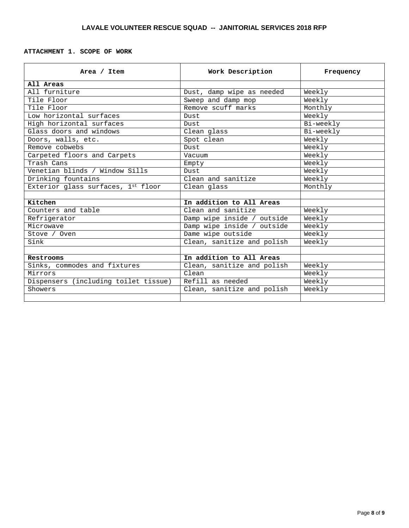# **ATTACHMENT 1. SCOPE OF WORK**

| Area / Item                          | Work Description           | Frequency |
|--------------------------------------|----------------------------|-----------|
| All Areas                            |                            |           |
| All furniture                        | Dust, damp wipe as needed  | Weekly    |
| Tile Floor                           | Sweep and damp mop         | Weekly    |
| Tile Floor                           | Remove scuff marks         | Monthly   |
| Low horizontal surfaces              | Dust                       | Weekly    |
| High horizontal surfaces             | Dust                       | Bi-weekly |
| Glass doors and windows              | Clean glass                | Bi-weekly |
| Doors, walls, etc.                   | Spot clean                 | Weekly    |
| Remove cobwebs                       | Dust                       | Weekly    |
| Carpeted floors and Carpets          | Vacuum                     | Weekly    |
| Trash Cans                           | Empty                      | Weekly    |
| Venetian blinds / Window Sills       | Dust                       | Weekly    |
| Drinking fountains                   | Clean and sanitize         | Weekly    |
| Exterior glass surfaces, 1st floor   | Clean glass                | Monthly   |
|                                      |                            |           |
| Kitchen                              | In addition to All Areas   |           |
| Counters and table                   | Clean and sanitize         | Weekly    |
| Refrigerator                         | Damp wipe inside / outside | Weekly    |
| Microwave                            | Damp wipe inside / outside | Weekly    |
| Stove / Oven                         | Dame wipe outside          | Weekly    |
| Sink                                 | Clean, sanitize and polish | Weekly    |
|                                      |                            |           |
| Restrooms                            | In addition to All Areas   |           |
| Sinks, commodes and fixtures         | Clean, sanitize and polish | Weekly    |
| Mirrors                              | $C$ lean                   | Weekly    |
| Dispensers (including toilet tissue) | Refill as needed           | Weekly    |
| Showers                              | Clean, sanitize and polish | Weekly    |
|                                      |                            |           |